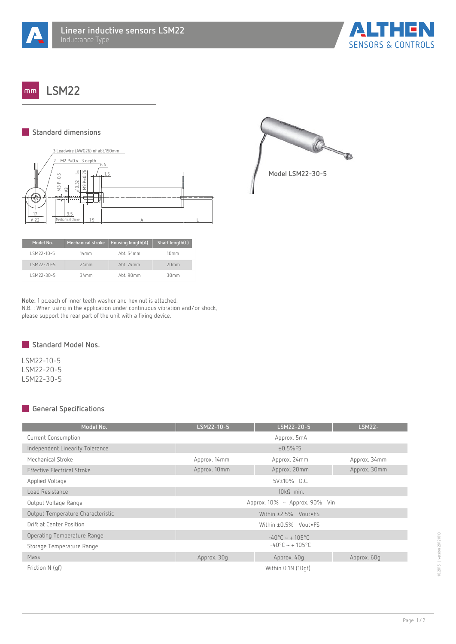



**LSM22**  $mm$ 

## **Standard dimensions**



| Model No.     | <b>Mechanical stroke</b> | Housing length(A), | Shaft length(L) |
|---------------|--------------------------|--------------------|-----------------|
| I SM22-10-5   | 14mm                     | Aht 54mm           | 10mm            |
| $1$ SM22-20-5 | 24mm                     | $Ah + 74$ mm       | 20mm            |
| ISM22-30-5    | 34mm                     | Aht 90mm           | 30mm            |

**Note:** 1 pc.each of inner teeth washer and hex nut is attached. N.B. : When using in the application under continuous vibration and/or shock, please support the rear part of the unit with a fixing device.



LSM22-10-5 LSM22-20-5 LSM22-30-5

## **General Specifications**

| Model No.                         | LSM22-10-5                          | LSM22-20-5                | <b>LSM22-</b> |  |
|-----------------------------------|-------------------------------------|---------------------------|---------------|--|
| Current Consumption               | Approx. 5mA                         |                           |               |  |
| Independent Linearity Tolerance   | $±0.5\%$ FS                         |                           |               |  |
| Mechanical Stroke                 | Approx. 14mm                        | Approx. 24mm              | Approx. 34mm  |  |
| Effective Electrical Stroke       | Approx. 10mm                        | Approx. 20mm              | Approx. 30mm  |  |
| Applied Voltage                   | $5V±10\%$ D.C.                      |                           |               |  |
| Load Resistance                   | $10k\Omega$ min.                    |                           |               |  |
| Output Voltage Range              | Approx. $10\%$ ~ Approx. $90\%$ Vin |                           |               |  |
| Output Temperature Characteristic | Within ±2.5% Vout=FS                |                           |               |  |
| Drift at Center Position          | Within $\pm 0.5\%$ Vout=FS          |                           |               |  |
| Operating Temperature Range       | $-40^{\circ}$ C ~ + 105°C           |                           |               |  |
| Storage Temperature Range         |                                     | $-40^{\circ}$ C ~ + 105°C |               |  |
| Mass                              | Approx. 30g                         | Approx. 40g               | Approx. 60g   |  |
| Friction N (qf)                   | Within 0.1N (10gf)                  |                           |               |  |



**Model LSM22-30-5**